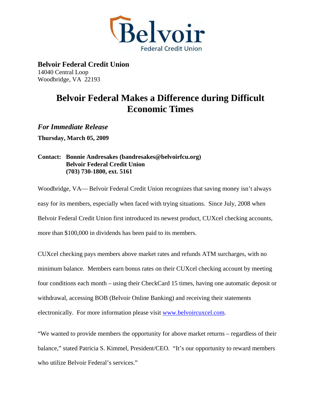

**Belvoir Federal Credit Union**  14040 Central Loop Woodbridge, VA 22193

## **Belvoir Federal Makes a Difference during Difficult Economic Times**

*For Immediate Release* 

**Thursday, March 05, 2009** 

## **Contact: Bonnie Andresakes (bandresakes@belvoirfcu.org) Belvoir Federal Credit Union (703) 730-1800, ext. 5161**

Woodbridge, VA— Belvoir Federal Credit Union recognizes that saving money isn't always easy for its members, especially when faced with trying situations. Since July, 2008 when Belvoir Federal Credit Union first introduced its newest product, CUXcel checking accounts, more than \$100,000 in dividends has been paid to its members.

CUXcel checking pays members above market rates and refunds ATM surcharges, with no minimum balance. Members earn bonus rates on their CUXcel checking account by meeting four conditions each month – using their CheckCard 15 times, having one automatic deposit or withdrawal, accessing BOB (Belvoir Online Banking) and receiving their statements electronically. For more information please visit [www.belvoircuxcel.com](http://www.belvoircuxcel.com/).

"We wanted to provide members the opportunity for above market returns – regardless of their balance," stated Patricia S. Kimmel, President/CEO. "It's our opportunity to reward members who utilize Belvoir Federal's services."